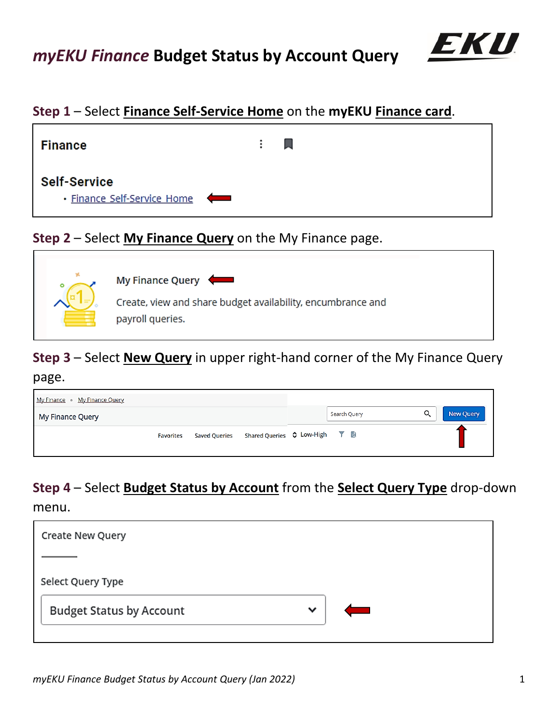

## **Step 1** – Select **Finance Self-Service Home** on the **myEKU Finance card**.



### **Step 2** – Select **My Finance Query** on the My Finance page.



# **Step 3** – Select **New Query** in upper right-hand corner of the My Finance Query

### page.

| My Finance • My Finance Query                                                 |              |                |
|-------------------------------------------------------------------------------|--------------|----------------|
| My Finance Query                                                              | Search Query | Q<br>New Query |
| Saved Queries Shared Queries $\Diamond$ Low-High $\Box$ a<br><b>Favorites</b> |              |                |

# **Step 4** – Select **Budget Status by Account** from the **Select Query Type** drop-down

menu.

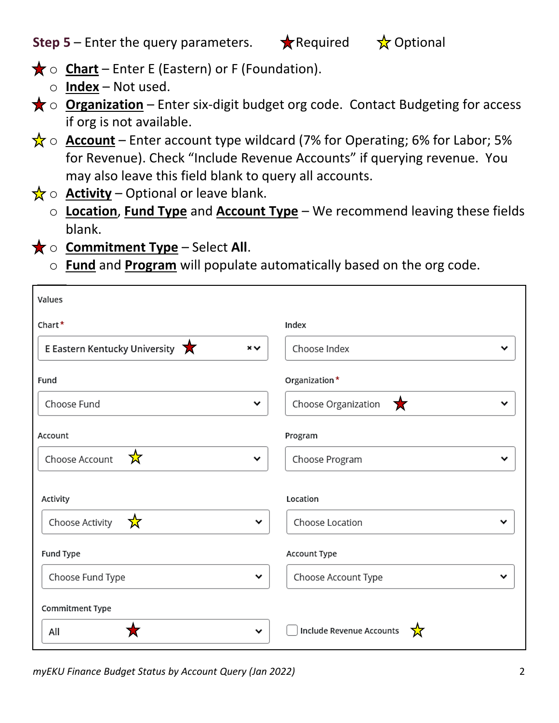# **Step 5** – Enter the query parameters.  $\star$  Required  $\star$  Optional

- **★ o Chart** Enter E (Eastern) or F (Foundation).
	- o **Index** Not used.
- **★ o Organization** Enter six-digit budget org code. Contact Budgeting for access if org is not available.
- $\frac{1}{N}$   $\circ$  **Account** Enter account type wildcard (7% for Operating; 6% for Labor; 5% for Revenue). Check "Include Revenue Accounts" if querying revenue. You may also leave this field blank to query all accounts.
- $\frac{1}{N}$   $\circ$  **Activity** Optional or leave blank.
	- o **Location**, **Fund Type** and **Account Type** We recommend leaving these fields blank.
- **★ o Commitment Type** Select All.
	- o **Fund** and **Program** will populate automatically based on the org code.

| Values                                    |                                        |
|-------------------------------------------|----------------------------------------|
| Chart*                                    | Index                                  |
| E Eastern Kentucky University<br>$\times$ | Choose Index<br>v                      |
| Fund                                      | Organization*                          |
| Choose Fund<br>$\checkmark$               | $\bigstar$<br>Choose Organization<br>v |
| Account                                   | Program                                |
| ☆<br>Choose Account<br>╰                  | Choose Program<br>v                    |
| Activity                                  | Location                               |
| ☆<br>Choose Activity<br>$\checkmark$      | Choose Location<br>v                   |
| Fund Type                                 | Account Type                           |
| Choose Fund Type<br>$\checkmark$          | Choose Account Type<br>v               |
| Commitment Type                           |                                        |
| All<br>$\checkmark$                       | Include Revenue Accounts<br>☆          |